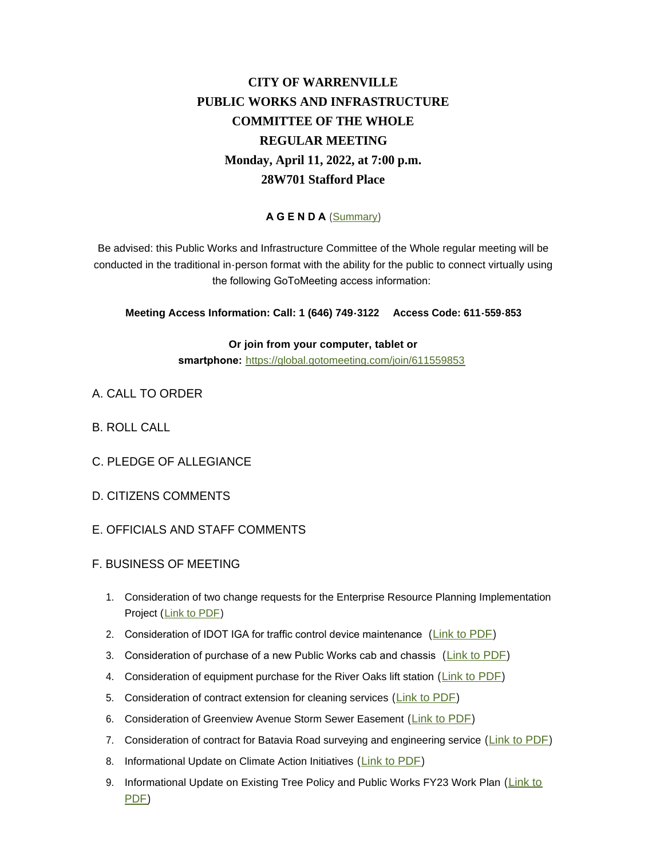## **CITY OF WARRENVILLE PUBLIC WORKS AND INFRASTRUCTURE COMMITTEE OF THE WHOLE REGULAR MEETING Monday, April 11, 2022, at 7:00 p.m. 28W701 Stafford Place**

## **A G E N D A** ([Summary](https://www.warrenville.il.us/DocumentCenter/View/19258/06-13-22-PWIC-Summary))

Be advised: this Public Works and Infrastructure Committee of the Whole regular meeting will be conducted in the traditional in-person format with the ability for the public to connect virtually using the following GoToMeeting access information:

**Meeting Access Information: Call: 1 (646) 749-3122 Access Code: 611-559-853**

**Or join from your computer, tablet or smartphone:** <https://global.gotomeeting.com/join/611559853>

- A. CALL TO ORDER
- B. ROLL CALL
- C. PLEDGE OF ALLEGIANCE
- D. CITIZENS COMMENTS
- E. OFFICIALS AND STAFF COMMENTS
- F. BUSINESS OF MEETING
	- 1. Consideration of two change requests for the Enterprise Resource Planning Implementation Project ([Link to PDF\)](https://www.warrenville.il.us/DocumentCenter/View/19257/F-1---Change-Request-June-2022)
	- 2. Consideration of IDOT IGA for traffic control device maintenance ([Link to PDF\)](https://www.warrenville.il.us/DocumentCenter/View/19251/F-2---IDOT-IGA-Traffic-Signal-Maintenance)
	- 3. Consideration of purchase of a new Public Works cab and chassis ([Link to PDF\)](https://www.warrenville.il.us/DocumentCenter/View/19252/F-3---Resolution-Approving-the-Purchase-of-a-Dump-Truck-Cab-and-Chassis-from-Rush-Truck-Center-2022)
	- 4. Consideration of equipment purchase for the River Oaks lift station ([Link to PDF](https://www.warrenville.il.us/DocumentCenter/View/19253/F-4---Resolution-Approving-Purchase-of-Lift-Station-Equipment-from-Metropolitan-Pump-Company-00126611-4xFDE7A))
	- 5. Consideration of contract extension for cleaning services ([Link to PDF](https://www.warrenville.il.us/DocumentCenter/View/19245/F-5---Crystal-Cleaning-Contract---Extension))
	- 6. Consideration of Greenview Avenue Storm Sewer Easement ([Link to PDF](https://www.warrenville.il.us/DocumentCenter/View/19246/F-6---Ordinance-Approving-Easement-Agreement-Greenview-Avenue-Storm-Stewer-Improvements-00126596xFDE7A))
	- 7. Consideration of contract for Batavia Road surveying and engineering service ([Link to PDF](https://www.warrenville.il.us/DocumentCenter/View/19247/F-7----Resolution-Approving-Agreement-for-Survey-Design-Engineering-Batavia-Road-Sidewalk))
	- 8. Informational Update on Climate Action Initiatives ([Link to PDF\)](https://www.warrenville.il.us/DocumentCenter/View/19248/F-8---2022_Green-Initiatives-Review-DRAFT)
	- 9. Informational Update on Existing Tree Policy and Public Works FY23 Work Plan ([Link to](https://www.warrenville.il.us/DocumentCenter/View/19249/F-9---Tree-Management-Update-Memo-2022-06-08)  PDF)